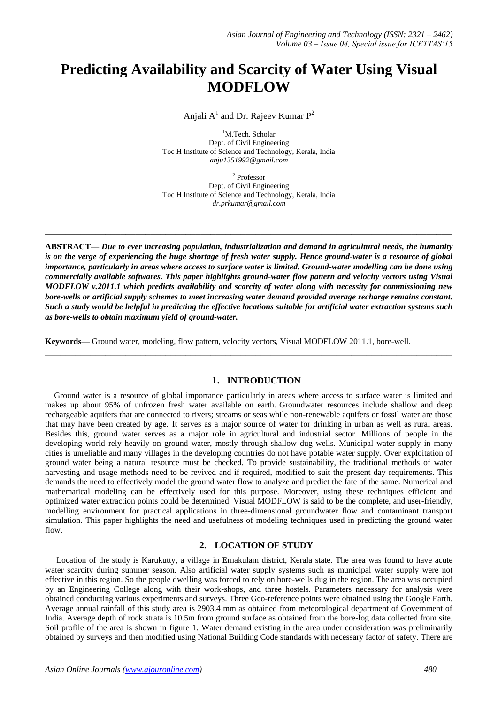# **Predicting Availability and Scarcity of Water Using Visual MODFLOW**

Anjali  $A^1$  and Dr. Rajeev Kumar  $P^2$ 

<sup>1</sup>M.Tech. Scholar Dept. of Civil Engineering Toc H Institute of Science and Technology, Kerala, India *anju1351992@gmail.com*

2 Professor Dept. of Civil Engineering Toc H Institute of Science and Technology, Kerala, India *dr.prkumar@gmail.com*

**\_\_\_\_\_\_\_\_\_\_\_\_\_\_\_\_\_\_\_\_\_\_\_\_\_\_\_\_\_\_\_\_\_\_\_\_\_\_\_\_\_\_\_\_\_\_\_\_\_\_\_\_\_\_\_\_\_\_\_\_\_\_\_\_\_\_\_\_\_\_\_\_\_\_\_\_\_\_\_\_\_**

**ABSTRACT—** *Due to ever increasing population, industrialization and demand in agricultural needs, the humanity is on the verge of experiencing the huge shortage of fresh water supply. Hence ground-water is a resource of global importance, particularly in areas where access to surface water is limited. Ground-water modelling can be done using commercially available softwares. This paper highlights ground-water flow pattern and velocity vectors using Visual MODFLOW v.2011.1 which predicts availability and scarcity of water along with necessity for commissioning new bore-wells or artificial supply schemes to meet increasing water demand provided average recharge remains constant. Such a study would be helpful in predicting the effective locations suitable for artificial water extraction systems such as bore-wells to obtain maximum yield of ground-water.*

**Keywords—** Ground water, modeling, flow pattern, velocity vectors, Visual MODFLOW 2011.1, bore-well.

## **1. INTRODUCTION**

**\_\_\_\_\_\_\_\_\_\_\_\_\_\_\_\_\_\_\_\_\_\_\_\_\_\_\_\_\_\_\_\_\_\_\_\_\_\_\_\_\_\_\_\_\_\_\_\_\_\_\_\_\_\_\_\_\_\_\_\_\_\_\_\_\_\_\_\_\_\_\_\_\_\_\_\_\_\_\_\_\_**

Ground water is a resource of global importance particularly in areas where access to surface water is limited and makes up about 95% of unfrozen fresh water available on earth. Groundwater resources include shallow and deep rechargeable aquifers that are connected to rivers; streams or seas while non-renewable aquifers or fossil water are those that may have been created by age. It serves as a major source of water for drinking in urban as well as rural areas. Besides this, ground water serves as a major role in agricultural and industrial sector. Millions of people in the developing world rely heavily on ground water, mostly through shallow dug wells. Municipal water supply in many cities is unreliable and many villages in the developing countries do not have potable water supply. Over exploitation of ground water being a natural resource must be checked. To provide sustainability, the traditional methods of water harvesting and usage methods need to be revived and if required, modified to suit the present day requirements. This demands the need to effectively model the ground water flow to analyze and predict the fate of the same. Numerical and mathematical modeling can be effectively used for this purpose. Moreover, using these techniques efficient and optimized water extraction points could be determined. Visual MODFLOW is said to be the complete, and user-friendly, modelling environment for practical applications in three-dimensional groundwater flow and contaminant transport simulation. This paper highlights the need and usefulness of modeling techniques used in predicting the ground water flow.

## **2. LOCATION OF STUDY**

Location of the study is Karukutty, a village in Ernakulam district, Kerala state. The area was found to have acute water scarcity during summer season. Also artificial water supply systems such as municipal water supply were not effective in this region. So the people dwelling was forced to rely on bore-wells dug in the region. The area was occupied by an Engineering College along with their work-shops, and three hostels. Parameters necessary for analysis were obtained conducting various experiments and surveys. Three Geo-reference points were obtained using the Google Earth. Average annual rainfall of this study area is 2903.4 mm as obtained from meteorological department of Government of India. Average depth of rock strata is 10.5m from ground surface as obtained from the bore-log data collected from site. Soil profile of the area is shown in figure 1. Water demand existing in the area under consideration was preliminarily obtained by surveys and then modified using National Building Code standards with necessary factor of safety. There are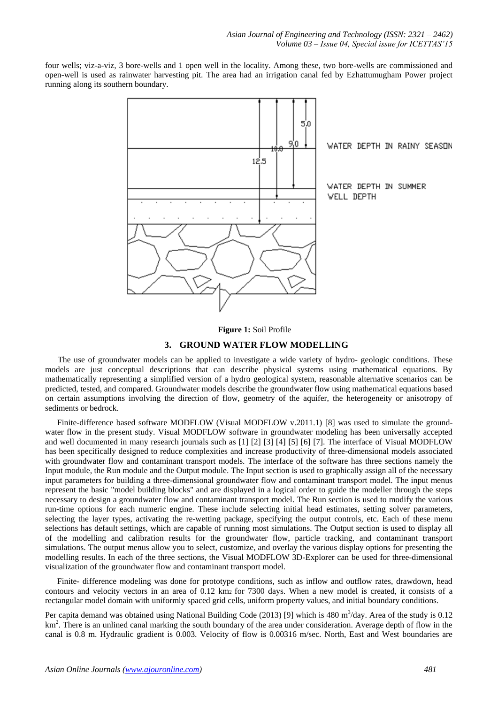four wells; viz-a-viz, 3 bore-wells and 1 open well in the locality. Among these, two bore-wells are commissioned and open-well is used as rainwater harvesting pit. The area had an irrigation canal fed by Ezhattumugham Power project running along its southern boundary.



#### **Figure 1:** Soil Profile

#### **3. GROUND WATER FLOW MODELLING**

 The use of groundwater models can be applied to investigate a wide variety of hydro- geologic conditions. These models are just conceptual descriptions that can describe physical systems using mathematical equations. By mathematically representing a simplified version of a hydro geological system, reasonable alternative scenarios can be predicted, tested, and compared. Groundwater models describe the groundwater flow using mathematical equations based on certain assumptions involving the direction of flow, geometry of the aquifer, the heterogeneity or anisotropy of sediments or bedrock.

Finite-difference based software MODFLOW (Visual MODFLOW v.2011.1) [8] was used to simulate the groundwater flow in the present study. Visual MODFLOW software in groundwater modeling has been universally accepted and well documented in many research journals such as [1] [2] [3] [4] [5] [6] [7]. The interface of Visual MODFLOW has been specifically designed to reduce complexities and increase productivity of three-dimensional models associated with groundwater flow and contaminant transport models. The interface of the software has three sections namely the Input module, the Run module and the Output module. The Input section is used to graphically assign all of the necessary input parameters for building a three-dimensional groundwater flow and contaminant transport model. The input menus represent the basic "model building blocks" and are displayed in a logical order to guide the modeller through the steps necessary to design a groundwater flow and contaminant transport model. The Run section is used to modify the various run-time options for each numeric engine. These include selecting initial head estimates, setting solver parameters, selecting the layer types, activating the re-wetting package, specifying the output controls, etc. Each of these menu selections has default settings, which are capable of running most simulations. The Output section is used to display all of the modelling and calibration results for the groundwater flow, particle tracking, and contaminant transport simulations. The output menus allow you to select, customize, and overlay the various display options for presenting the modelling results. In each of the three sections, the Visual MODFLOW 3D-Explorer can be used for three-dimensional visualization of the groundwater flow and contaminant transport model.

Finite- difference modeling was done for prototype conditions, such as inflow and outflow rates, drawdown, head contours and velocity vectors in an area of 0.12 km2 for 7300 days. When a new model is created, it consists of a rectangular model domain with uniformly spaced grid cells, uniform property values, and initial boundary conditions.

Per capita demand was obtained using National Building Code (2013) [9] which is 480 m<sup>3</sup>/day. Area of the study is 0.12 km<sup>2</sup>. There is an unlined canal marking the south boundary of the area under consideration. Average depth of flow in the canal is 0.8 m. Hydraulic gradient is 0.003. Velocity of flow is 0.00316 m/sec. North, East and West boundaries are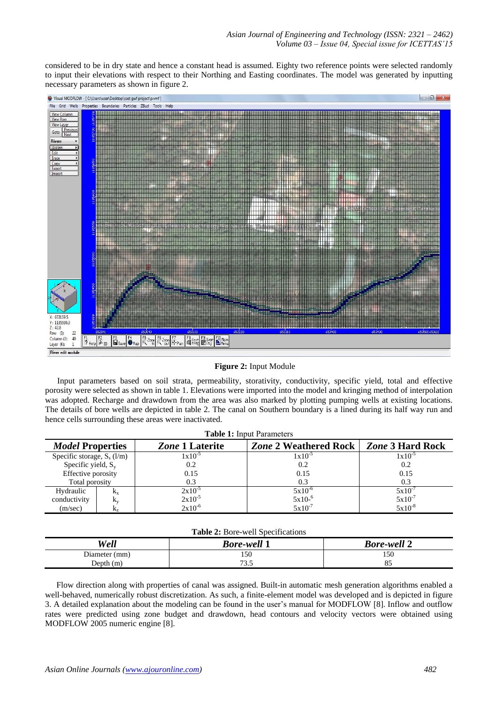considered to be in dry state and hence a constant head is assumed. Eighty two reference points were selected randomly to input their elevations with respect to their Northing and Easting coordinates. The model was generated by inputting necessary parameters as shown in figure 2.



#### **Figure 2:** Input Module

Input parameters based on soil strata, permeability, storativity, conductivity, specific yield, total and effective porosity were selected as shown in table 1. Elevations were imported into the model and kringing method of interpolation was adopted. Recharge and drawdown from the area was also marked by plotting pumping wells at existing locations. The details of bore wells are depicted in table 2. The canal on Southern boundary is a lined during its half way run and hence cells surrounding these areas were inactivated.

| <b>Table 1:</b> Input Parameters |             |                        |                              |                         |  |
|----------------------------------|-------------|------------------------|------------------------------|-------------------------|--|
| <b>Model Properties</b>          |             | <i>Zone</i> 1 Laterite | <b>Zone 2 Weathered Rock</b> | <b>Zone 3 Hard Rock</b> |  |
| Specific storage, $S_s$ (l/m)    |             | $1x10^{-5}$            | $1x10^{-5}$                  | $1x10^{-2}$             |  |
| Specific yield, $S_v$            |             | 0.2                    | 0.2                          | 0.2                     |  |
| Effective porosity               |             | 0.15                   | 0.15                         | 0.15                    |  |
| Total porosity                   |             | 0.3                    | 0.3                          | 0.3                     |  |
| Hydraulic                        | $K_{\rm X}$ | $2x10^{-5}$            | $5x10^{-6}$                  | 5x10                    |  |
| conductivity                     | K.,         | $2x10^{-5}$            | $5x10^{-6}$                  | $5x10^{-7}$             |  |
| (m/sec)                          | в.,         | $2x10^{-6}$            | $5x10^{-7}$                  | $5x10^{-8}$             |  |

| <b>Table 2:</b> Bore-well Specifications |                    |                    |  |  |  |
|------------------------------------------|--------------------|--------------------|--|--|--|
| Well                                     | <b>Bore-well 1</b> | <b>Bore-well 2</b> |  |  |  |
| Diameter (mm)                            | 150                | 50،                |  |  |  |

73.5

Flow direction along with properties of canal was assigned. Built-in automatic mesh generation algorithms enabled a well-behaved, numerically robust discretization. As such, a finite-element model was developed and is depicted in figure 3. A detailed explanation about the modeling can be found in the user's manual for MODFLOW [8]. Inflow and outflow rates were predicted using zone budget and drawdown, head contours and velocity vectors were obtained using MODFLOW 2005 numeric engine [8].

Depth (m)

85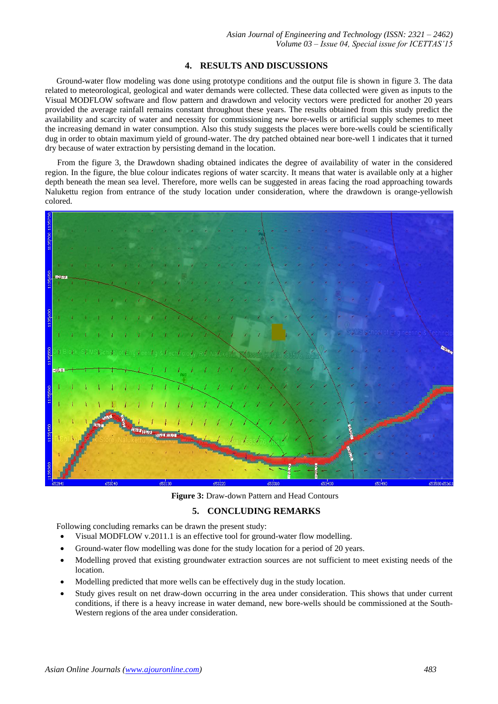#### **4. RESULTS AND DISCUSSIONS**

Ground-water flow modeling was done using prototype conditions and the output file is shown in figure 3. The data related to meteorological, geological and water demands were collected. These data collected were given as inputs to the Visual MODFLOW software and flow pattern and drawdown and velocity vectors were predicted for another 20 years provided the average rainfall remains constant throughout these years. The results obtained from this study predict the availability and scarcity of water and necessity for commissioning new bore-wells or artificial supply schemes to meet the increasing demand in water consumption. Also this study suggests the places were bore-wells could be scientifically dug in order to obtain maximum yield of ground-water. The dry patched obtained near bore-well 1 indicates that it turned dry because of water extraction by persisting demand in the location.

From the figure 3, the Drawdown shading obtained indicates the degree of availability of water in the considered region. In the figure, the blue colour indicates regions of water scarcity. It means that water is available only at a higher depth beneath the mean sea level. Therefore, more wells can be suggested in areas facing the road approaching towards Nalukettu region from entrance of the study location under consideration, where the drawdown is orange-yellowish colored.



**Figure 3:** Draw-down Pattern and Head Contours

# **5. CONCLUDING REMARKS**

Following concluding remarks can be drawn the present study:

- Visual MODFLOW v.2011.1 is an effective tool for ground-water flow modelling.
- Ground-water flow modelling was done for the study location for a period of 20 years.
- Modelling proved that existing groundwater extraction sources are not sufficient to meet existing needs of the location.
- Modelling predicted that more wells can be effectively dug in the study location.
- Study gives result on net draw-down occurring in the area under consideration. This shows that under current conditions, if there is a heavy increase in water demand, new bore-wells should be commissioned at the South-Western regions of the area under consideration.